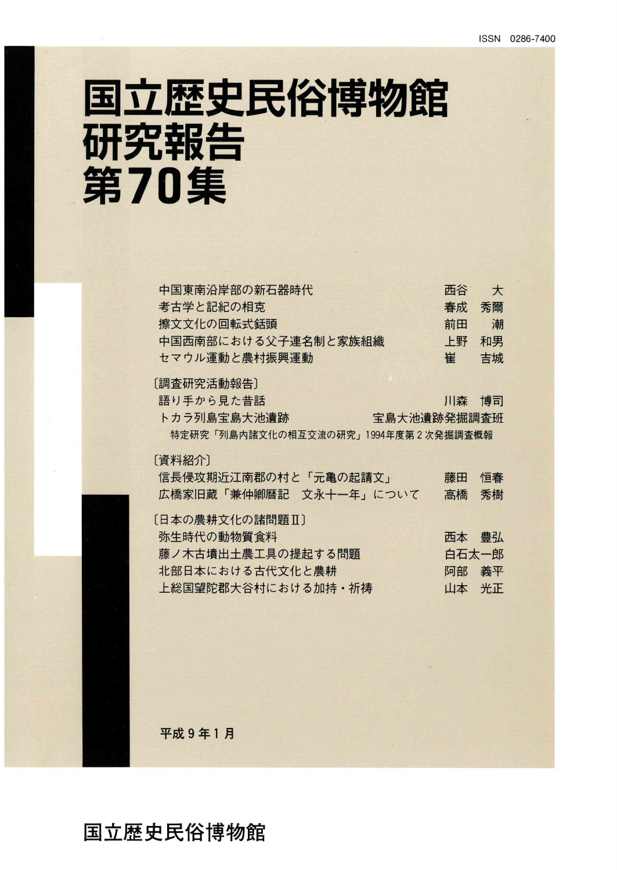# 国立歴史民俗博物館 研究報告 第70集

| 中国東南沿岸部の新石器時代                       | 西谷    | $\star$ |
|-------------------------------------|-------|---------|
| 考古学と記紀の相克                           | 春成    | 秀爾      |
| 擦文文化の回転式銛頭                          | 前田    | 潮       |
| 中国西南部における父子連名制と家族組織                 | 上野    | 和男      |
| セマウル運動と農村振興運動                       | 崔     | 吉城      |
| 〔調査研究活動報告〕                          |       |         |
| 語り手から見た昔話                           | 川森の博司 |         |
| トカラ列島宝島大池遺跡<br>宝島大池遺跡発掘調査班          |       |         |
| 特定研究「列島内諸文化の相互交流の研究」1994年度第2次発掘調査概報 |       |         |
| 「資料紹介」                              |       |         |
| 信長侵攻期近江南郡の村と「元亀の起請文」                | 藤田    | 恒春      |
| 広橋家旧蔵「兼仲卿暦記 文永十一年」について              | 高橋    | 秀樹      |
| 〔日本の農耕文化の諸問題Ⅱ〕                      |       |         |
| 弥生時代の動物質食料                          | 西本    | 豊弘      |
| 藤ノ木古墳出土農工具の提起する問題                   | 白石太一郎 |         |
| 北部日本における古代文化と農耕                     | 阿部    | 義平      |
| 上総国望陀郡大谷村における加持・祈祷                  | 山本    | 光正      |
|                                     |       |         |

平成9年1月

国立歴史民俗博物館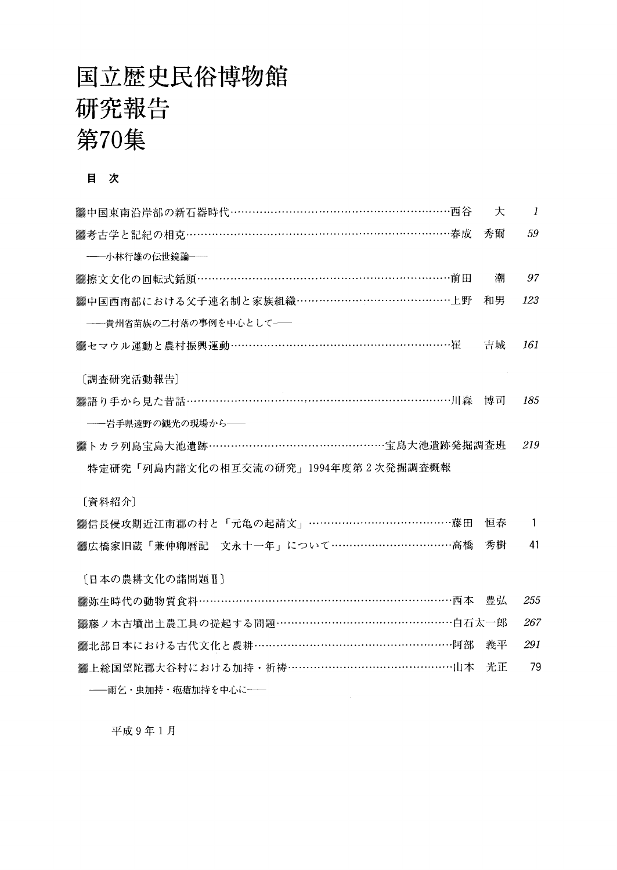### 国立歴史民俗博物館 研究報告 第70集

#### 目 次

| ▓中国東南沿岸部の新石器時代…………………………………………………西谷     | 仧  | $\mathbf{1}$ |
|-----------------------------------------|----|--------------|
| ▓考古学と記紀の相克……………………………………………………………………春成  | 秀爾 | 59           |
| ――小林行雄の伝世鏡論――                           |    |              |
| ▓擦文文化の回転式銛頭…………………………………………………………前田     | 潮  | 97           |
| ▓中国西南部における父子連名制と家族組織……………………………………上野    | 和男 | 123          |
| -- 貴州省苗族の二村落の事例を中心として–                  |    |              |
| ▓セマウル運動と農村振興運動……………………………………………………崔     | 吉城 | 161          |
| [調査研究活動報告]                              |    |              |
| ▓語り手から見た昔話………………………………………………………………川森    | 博司 | 185          |
| ――岩手県遠野の観光の現場から――                       |    |              |
| ▓トカラ列島宝島大池遺跡…………………………………………宝島大池遺跡発掘調査班 |    | 219          |
| 特定研究「列島内諸文化の相互交流の研究」1994年度第2次発掘調査概報     |    |              |
| [資料紹介]                                  |    |              |
| ▓信長侵攻期近江南郡の村と「元亀の起請文」…………………………………藤田    | 恒春 | $\mathbf{1}$ |
| ▒広橋家旧蔵「兼仲卿暦記 文永十一年」について……………………………高橋    | 秀樹 | 41           |
| [日本の農耕文化の諸問題Ⅱ]                          |    |              |
| ▓弥生時代の動物質食料………………………………………………………西本      | 豊弘 | 255          |
| ▓藤ノ木古墳出土農工具の提起する問題…………………………………………白石太一郎 |    | 267          |
| ▓北部日本における古代文化と農耕…………………………………………………阿部   | 義平 | 291          |
| ▓上総国望陀郡大谷村における加持・祈祷………………………………………山本    | 光正 | 79           |
| -- 雨乞・虫加持・疱瘡加持を中心に --                   |    |              |

平成9年1月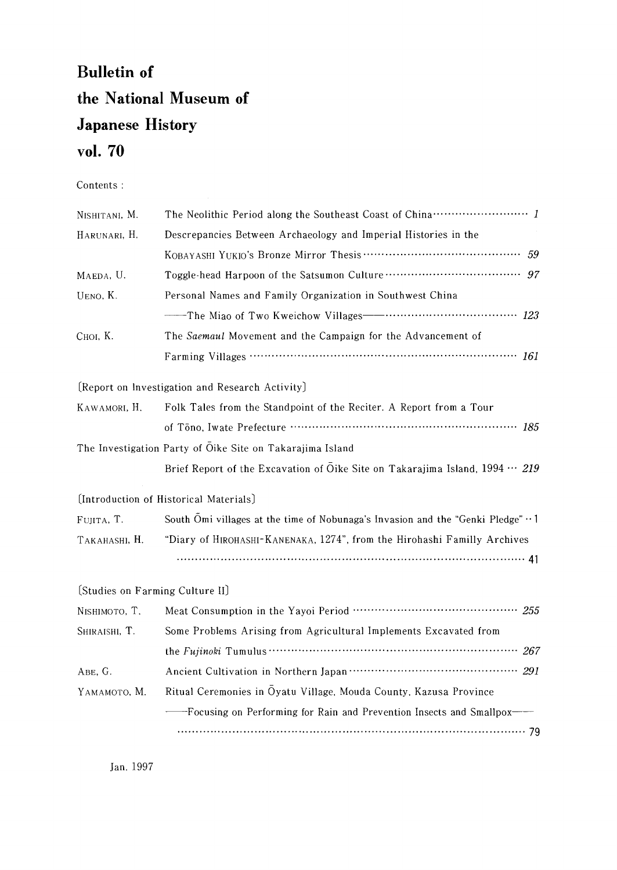### Bulletin of the National Museum of Japanese History voL 70

Contents :

| NISHITANI, M.                                             | The Neolithic Period along the Southeast Coast of China ························· 1          |  |  |
|-----------------------------------------------------------|----------------------------------------------------------------------------------------------|--|--|
| HARUNARI, H.                                              | Descrepancies Between Archaeology and Imperial Histories in the                              |  |  |
|                                                           | .59                                                                                          |  |  |
| MAEDA, U.                                                 |                                                                                              |  |  |
| UENO, K.                                                  | Personal Names and Family Organization in Southwest China                                    |  |  |
|                                                           |                                                                                              |  |  |
| Сної, К.                                                  | The Saemaul Movement and the Campaign for the Advancement of                                 |  |  |
|                                                           |                                                                                              |  |  |
|                                                           | [Report on Investigation and Research Activity]                                              |  |  |
| KAWAMORI, H.                                              | Folk Tales from the Standpoint of the Reciter. A Report from a Tour                          |  |  |
|                                                           |                                                                                              |  |  |
| The Investigation Party of Oike Site on Takarajima Island |                                                                                              |  |  |
|                                                           | Brief Report of the Excavation of Oike Site on Takarajima Island, $1994 \cdots 219$          |  |  |
|                                                           | [Introduction of Historical Materials]                                                       |  |  |
| FUJITA, T.                                                | South Omi villages at the time of Nobunaga's Invasion and the "Genki Pledge" $\cdot \cdot$ 1 |  |  |
| TAKAHASHI, H.                                             | "Diary of HIROHASHI-KANENAKA, 1274", from the Hirohashi Familly Archives                     |  |  |
|                                                           |                                                                                              |  |  |
| [Studies on Farming Culture II]                           |                                                                                              |  |  |
| NISHIMOTO, T.                                             |                                                                                              |  |  |
| SHIRAISHI, T.                                             | Some Problems Arising from Agricultural Implements Excavated from                            |  |  |
|                                                           |                                                                                              |  |  |
| ABE, G.                                                   |                                                                                              |  |  |
| ҮАМАМОТО, М.                                              | Ritual Ceremonies in Oyatu Village, Mouda County, Kazusa Province                            |  |  |
|                                                           | -Focusing on Performing for Rain and Prevention Insects and Smallpox-                        |  |  |
|                                                           |                                                                                              |  |  |

Jan.1997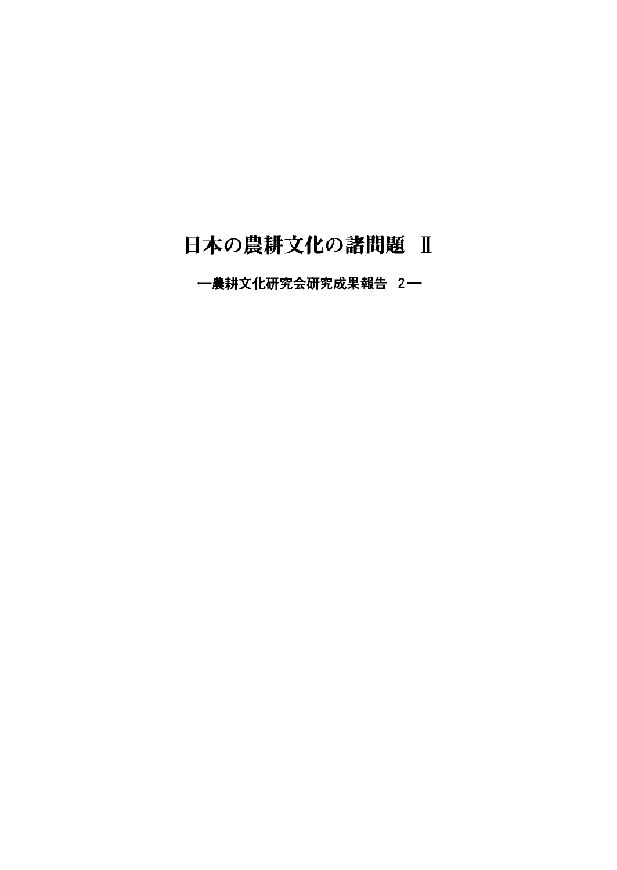### 日本の農耕文化の諸問題 Ⅱ

農耕文化研究会研究成果報告2一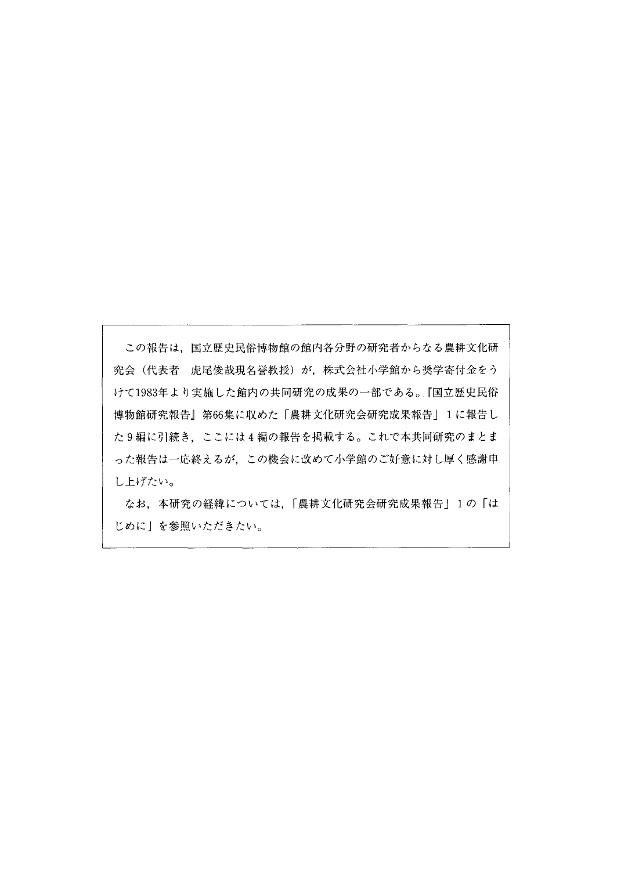この報告は、国立歴史民俗博物館の館内各分野の研究者からなる農耕文化研 究会(代表者 虎尾俊哉現名誉教授)が,株式会社小学館から奨学寄付金をう けて1983年より実施した館内の共同研究の成果の一部である。『国立歴史民俗 博物館研究報告』第66集に収めた「農耕文化研究会研究成果報告」1に報告し た9編に引続き,ここには4編の報告を掲載する。これで本共同研究のまとま った報告は一応終えるが,この機会に改めて小学館のご好意に対し厚く感謝申 し上げたい。

 なお,本研究の経緯については,「農耕文化研究会研究成果報告」1の「は じめに」を参照いただきたい。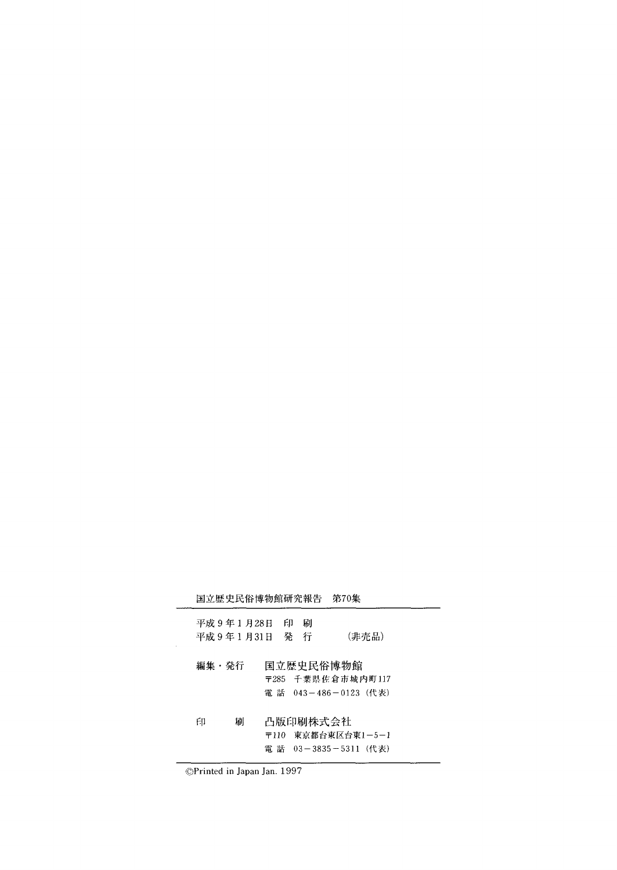|       | 国立歴史民俗博物館研究報告              |    |             | 第70集                                                   |  |
|-------|----------------------------|----|-------------|--------------------------------------------------------|--|
|       | 平成 9 年 1 月28日<br>平成9年1月31日 | FЛ | 刷<br>発<br>行 | (非壳品)                                                  |  |
| 編集・発行 |                            |    |             | 国立歴史民俗博物館<br>〒285 千葉県佐倉市城内町117<br>電 話 043-486-0123(代表) |  |
| 印     | 届                          |    |             | 凸版印刷株式会社<br>〒110 東京都台東区台東1-5-1<br>電 話 03-3835-5311(代表) |  |

◎Printed in Japan Jan.1997